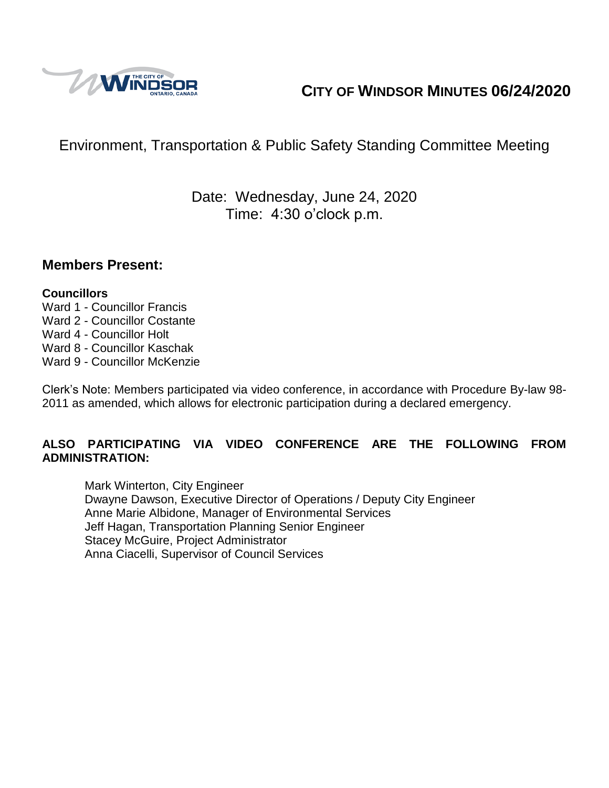

# **CITY OF WINDSOR MINUTES 06/24/2020**

# Environment, Transportation & Public Safety Standing Committee Meeting

Date: Wednesday, June 24, 2020 Time: 4:30 o'clock p.m.

#### **Members Present:**

#### **Councillors**

- Ward 1 Councillor Francis Ward 2 - Councillor Costante Ward 4 - Councillor Holt
- Ward 8 Councillor Kaschak
- Ward 9 Councillor McKenzie

Clerk's Note: Members participated via video conference, in accordance with Procedure By-law 98- 2011 as amended, which allows for electronic participation during a declared emergency.

#### **ALSO PARTICIPATING VIA VIDEO CONFERENCE ARE THE FOLLOWING FROM ADMINISTRATION:**

Mark Winterton, City Engineer Dwayne Dawson, Executive Director of Operations / Deputy City Engineer Anne Marie Albidone, Manager of Environmental Services Jeff Hagan, Transportation Planning Senior Engineer Stacey McGuire, Project Administrator Anna Ciacelli, Supervisor of Council Services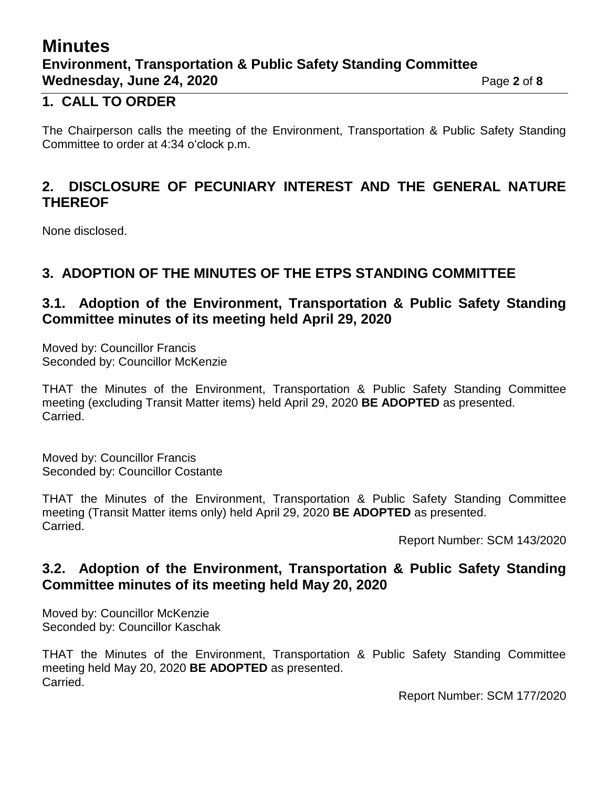## **Minutes Environment, Transportation & Public Safety Standing Committee Wednesday, June 24, 2020 Page 2** of 8

#### **1. CALL TO ORDER**

The Chairperson calls the meeting of the Environment, Transportation & Public Safety Standing Committee to order at 4:34 o'clock p.m.

#### **2. DISCLOSURE OF PECUNIARY INTEREST AND THE GENERAL NATURE THEREOF**

None disclosed.

#### **3. ADOPTION OF THE MINUTES OF THE ETPS STANDING COMMITTEE**

#### **3.1. Adoption of the Environment, Transportation & Public Safety Standing Committee minutes of its meeting held April 29, 2020**

Moved by: Councillor Francis Seconded by: Councillor McKenzie

THAT the Minutes of the Environment, Transportation & Public Safety Standing Committee meeting (excluding Transit Matter items) held April 29, 2020 **BE ADOPTED** as presented. Carried.

Moved by: Councillor Francis Seconded by: Councillor Costante

THAT the Minutes of the Environment, Transportation & Public Safety Standing Committee meeting (Transit Matter items only) held April 29, 2020 **BE ADOPTED** as presented. Carried.

Report Number: SCM 143/2020

#### **3.2. Adoption of the Environment, Transportation & Public Safety Standing Committee minutes of its meeting held May 20, 2020**

Moved by: Councillor McKenzie Seconded by: Councillor Kaschak

THAT the Minutes of the Environment, Transportation & Public Safety Standing Committee meeting held May 20, 2020 **BE ADOPTED** as presented. Carried.

Report Number: SCM 177/2020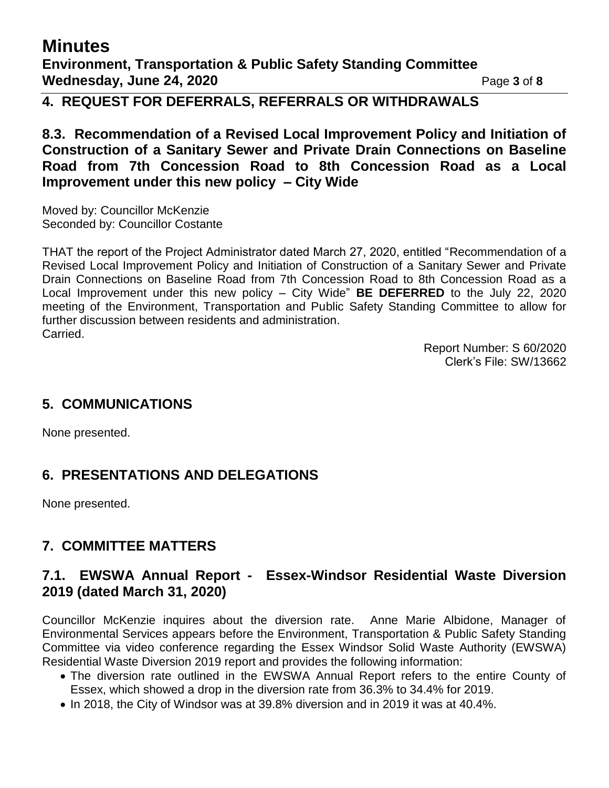# **Minutes**

**Environment, Transportation & Public Safety Standing Committee Wednesday, June 24, 2020 Page 3 of 8** 

### **4. REQUEST FOR DEFERRALS, REFERRALS OR WITHDRAWALS**

**8.3. Recommendation of a Revised Local Improvement Policy and Initiation of Construction of a Sanitary Sewer and Private Drain Connections on Baseline Road from 7th Concession Road to 8th Concession Road as a Local Improvement under this new policy – City Wide**

Moved by: Councillor McKenzie Seconded by: Councillor Costante

THAT the report of the Project Administrator dated March 27, 2020, entitled "Recommendation of a Revised Local Improvement Policy and Initiation of Construction of a Sanitary Sewer and Private Drain Connections on Baseline Road from 7th Concession Road to 8th Concession Road as a Local Improvement under this new policy – City Wide" **BE DEFERRED** to the July 22, 2020 meeting of the Environment, Transportation and Public Safety Standing Committee to allow for further discussion between residents and administration. Carried.

> Report Number: S 60/2020 Clerk's File: SW/13662

### **5. COMMUNICATIONS**

None presented.

## **6. PRESENTATIONS AND DELEGATIONS**

None presented.

## **7. COMMITTEE MATTERS**

#### **7.1. EWSWA Annual Report - Essex-Windsor Residential Waste Diversion 2019 (dated March 31, 2020)**

Councillor McKenzie inquires about the diversion rate. Anne Marie Albidone, Manager of Environmental Services appears before the Environment, Transportation & Public Safety Standing Committee via video conference regarding the Essex Windsor Solid Waste Authority (EWSWA) Residential Waste Diversion 2019 report and provides the following information:

- The diversion rate outlined in the EWSWA Annual Report refers to the entire County of Essex, which showed a drop in the diversion rate from 36.3% to 34.4% for 2019.
- In 2018, the City of Windsor was at 39.8% diversion and in 2019 it was at 40.4%.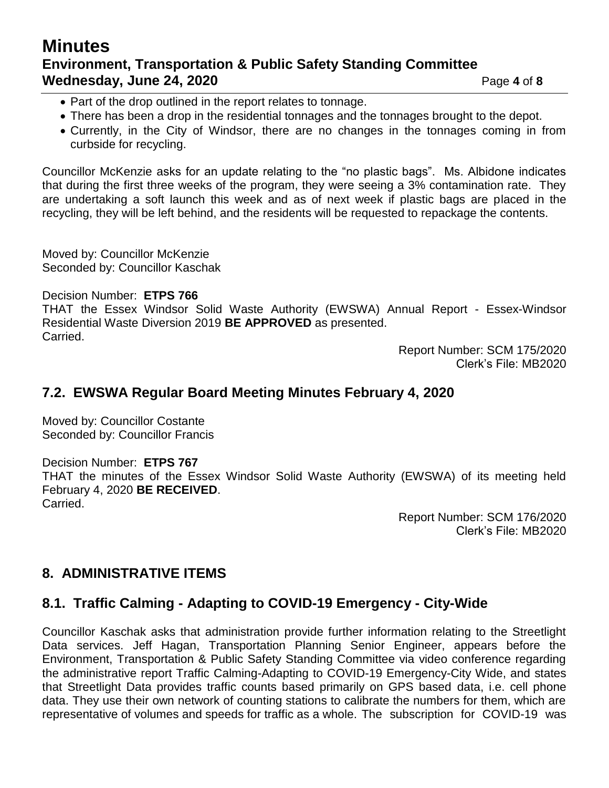### **Minutes Environment, Transportation & Public Safety Standing Committee Wednesday, June 24, 2020 Page 4 of 8**

- Part of the drop outlined in the report relates to tonnage.
- There has been a drop in the residential tonnages and the tonnages brought to the depot.
- Currently, in the City of Windsor, there are no changes in the tonnages coming in from curbside for recycling.

Councillor McKenzie asks for an update relating to the "no plastic bags". Ms. Albidone indicates that during the first three weeks of the program, they were seeing a 3% contamination rate. They are undertaking a soft launch this week and as of next week if plastic bags are placed in the recycling, they will be left behind, and the residents will be requested to repackage the contents.

Moved by: Councillor McKenzie Seconded by: Councillor Kaschak

Decision Number: **ETPS 766**

THAT the Essex Windsor Solid Waste Authority (EWSWA) Annual Report - Essex-Windsor Residential Waste Diversion 2019 **BE APPROVED** as presented. Carried.

> Report Number: SCM 175/2020 Clerk's File: MB2020

#### **7.2. EWSWA Regular Board Meeting Minutes February 4, 2020**

Moved by: Councillor Costante Seconded by: Councillor Francis

Decision Number: **ETPS 767** THAT the minutes of the Essex Windsor Solid Waste Authority (EWSWA) of its meeting held February 4, 2020 **BE RECEIVED**. Carried.

> Report Number: SCM 176/2020 Clerk's File: MB2020

### **8. ADMINISTRATIVE ITEMS**

### **8.1. Traffic Calming - Adapting to COVID-19 Emergency - City-Wide**

Councillor Kaschak asks that administration provide further information relating to the Streetlight Data services. Jeff Hagan, Transportation Planning Senior Engineer, appears before the Environment, Transportation & Public Safety Standing Committee via video conference regarding the administrative report Traffic Calming-Adapting to COVID-19 Emergency-City Wide, and states that Streetlight Data provides traffic counts based primarily on GPS based data, i.e. cell phone data. They use their own network of counting stations to calibrate the numbers for them, which are representative of volumes and speeds for traffic as a whole. The subscription for COVID-19 was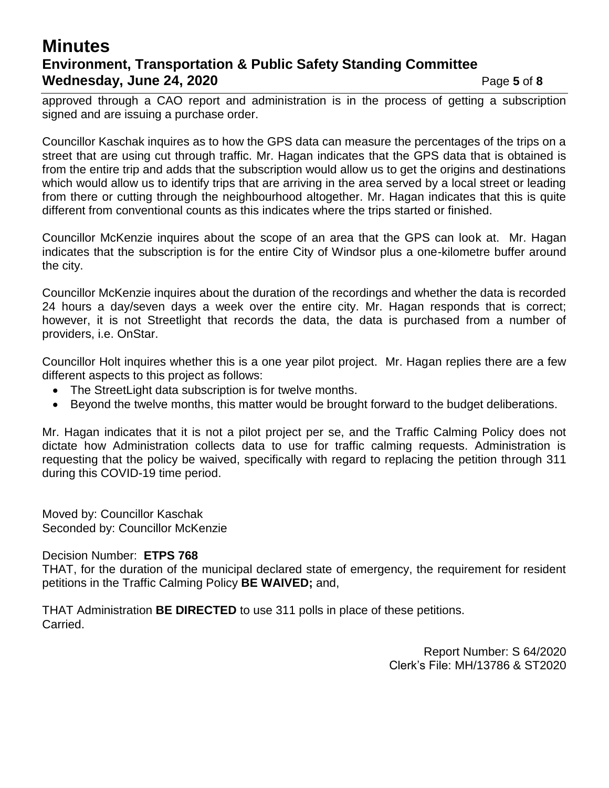### **Minutes Environment, Transportation & Public Safety Standing Committee Wednesday, June 24, 2020 Page 5** of 8

approved through a CAO report and administration is in the process of getting a subscription signed and are issuing a purchase order.

Councillor Kaschak inquires as to how the GPS data can measure the percentages of the trips on a street that are using cut through traffic. Mr. Hagan indicates that the GPS data that is obtained is from the entire trip and adds that the subscription would allow us to get the origins and destinations which would allow us to identify trips that are arriving in the area served by a local street or leading from there or cutting through the neighbourhood altogether. Mr. Hagan indicates that this is quite different from conventional counts as this indicates where the trips started or finished.

Councillor McKenzie inquires about the scope of an area that the GPS can look at. Mr. Hagan indicates that the subscription is for the entire City of Windsor plus a one-kilometre buffer around the city.

Councillor McKenzie inquires about the duration of the recordings and whether the data is recorded 24 hours a day/seven days a week over the entire city. Mr. Hagan responds that is correct; however, it is not Streetlight that records the data, the data is purchased from a number of providers, i.e. OnStar.

Councillor Holt inquires whether this is a one year pilot project. Mr. Hagan replies there are a few different aspects to this project as follows:

- The StreetLight data subscription is for twelve months.
- Beyond the twelve months, this matter would be brought forward to the budget deliberations.

Mr. Hagan indicates that it is not a pilot project per se, and the Traffic Calming Policy does not dictate how Administration collects data to use for traffic calming requests. Administration is requesting that the policy be waived, specifically with regard to replacing the petition through 311 during this COVID-19 time period.

Moved by: Councillor Kaschak Seconded by: Councillor McKenzie

Decision Number: **ETPS 768**

THAT, for the duration of the municipal declared state of emergency, the requirement for resident petitions in the Traffic Calming Policy **BE WAIVED;** and,

THAT Administration **BE DIRECTED** to use 311 polls in place of these petitions. Carried.

> Report Number: S 64/2020 Clerk's File: MH/13786 & ST2020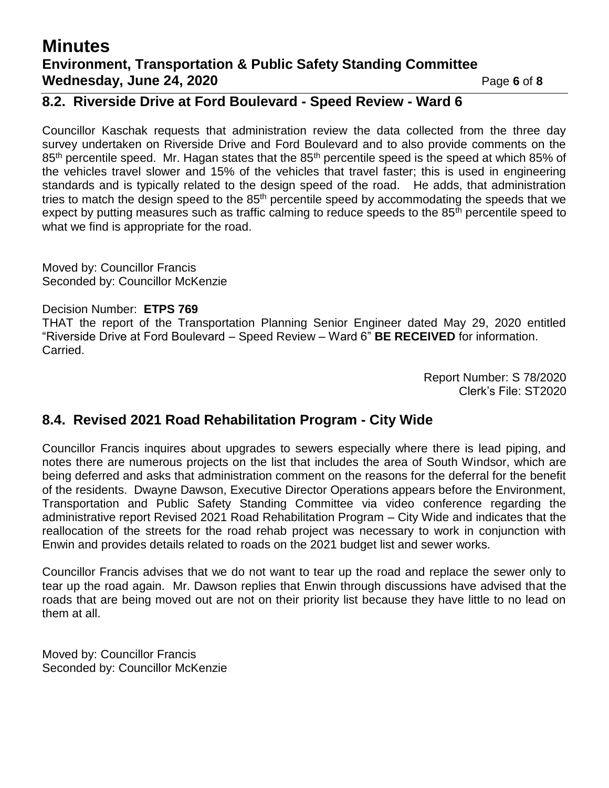### **Minutes Environment, Transportation & Public Safety Standing Committee Wednesday, June 24, 2020 Page 6** of 8

#### **8.2. Riverside Drive at Ford Boulevard - Speed Review - Ward 6**

Councillor Kaschak requests that administration review the data collected from the three day survey undertaken on Riverside Drive and Ford Boulevard and to also provide comments on the 85<sup>th</sup> percentile speed. Mr. Hagan states that the 85<sup>th</sup> percentile speed is the speed at which 85% of the vehicles travel slower and 15% of the vehicles that travel faster; this is used in engineering standards and is typically related to the design speed of the road. He adds, that administration tries to match the design speed to the 85<sup>th</sup> percentile speed by accommodating the speeds that we expect by putting measures such as traffic calming to reduce speeds to the 85<sup>th</sup> percentile speed to what we find is appropriate for the road.

Moved by: Councillor Francis Seconded by: Councillor McKenzie

#### Decision Number: **ETPS 769**

THAT the report of the Transportation Planning Senior Engineer dated May 29, 2020 entitled "Riverside Drive at Ford Boulevard – Speed Review – Ward 6" **BE RECEIVED** for information. Carried.

> Report Number: S 78/2020 Clerk's File: ST2020

#### **8.4. Revised 2021 Road Rehabilitation Program - City Wide**

Councillor Francis inquires about upgrades to sewers especially where there is lead piping, and notes there are numerous projects on the list that includes the area of South Windsor, which are being deferred and asks that administration comment on the reasons for the deferral for the benefit of the residents. Dwayne Dawson, Executive Director Operations appears before the Environment, Transportation and Public Safety Standing Committee via video conference regarding the administrative report Revised 2021 Road Rehabilitation Program – City Wide and indicates that the reallocation of the streets for the road rehab project was necessary to work in conjunction with Enwin and provides details related to roads on the 2021 budget list and sewer works.

Councillor Francis advises that we do not want to tear up the road and replace the sewer only to tear up the road again. Mr. Dawson replies that Enwin through discussions have advised that the roads that are being moved out are not on their priority list because they have little to no lead on them at all.

Moved by: Councillor Francis Seconded by: Councillor McKenzie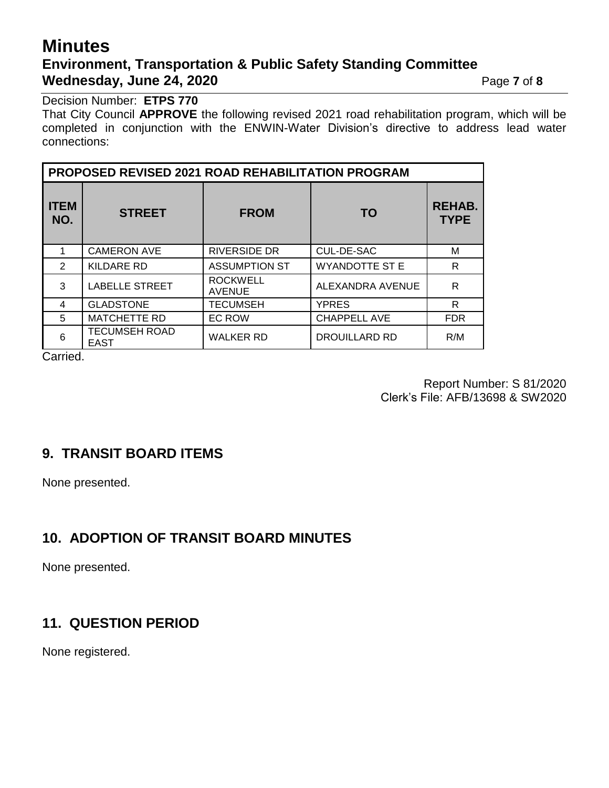## **Minutes Environment, Transportation & Public Safety Standing Committee Wednesday, June 24, 2020** Page 7 of 8

Decision Number: **ETPS 770**

That City Council **APPROVE** the following revised 2021 road rehabilitation program, which will be completed in conjunction with the ENWIN-Water Division's directive to address lead water connections:

| <b>PROPOSED REVISED 2021 ROAD REHABILITATION PROGRAM</b> |                                     |                                  |                       |                              |
|----------------------------------------------------------|-------------------------------------|----------------------------------|-----------------------|------------------------------|
| <b>ITEM</b><br>NO.                                       | <b>STREET</b>                       | <b>FROM</b>                      | <b>TO</b>             | <b>REHAB.</b><br><b>TYPE</b> |
|                                                          | <b>CAMERON AVE</b>                  | <b>RIVERSIDE DR</b>              | CUL-DE-SAC            | М                            |
| 2                                                        | <b>KILDARE RD</b>                   | <b>ASSUMPTION ST</b>             | <b>WYANDOTTE ST E</b> | R                            |
| 3                                                        | <b>LABELLE STREET</b>               | <b>ROCKWELL</b><br><b>AVENUE</b> | ALEXANDRA AVENUE      | R                            |
| 4                                                        | <b>GLADSTONE</b>                    | <b>TECUMSEH</b>                  | <b>YPRES</b>          | R                            |
| 5                                                        | <b>MATCHETTE RD</b>                 | EC ROW                           | <b>CHAPPELL AVE</b>   | <b>FDR</b>                   |
| 6                                                        | <b>TECUMSEH ROAD</b><br><b>EAST</b> | <b>WALKER RD</b>                 | DROUILLARD RD         | R/M                          |

Carried.

Report Number: S 81/2020 Clerk's File: AFB/13698 & SW2020

### **9. TRANSIT BOARD ITEMS**

None presented.

#### **10. ADOPTION OF TRANSIT BOARD MINUTES**

None presented.

#### **11. QUESTION PERIOD**

None registered.